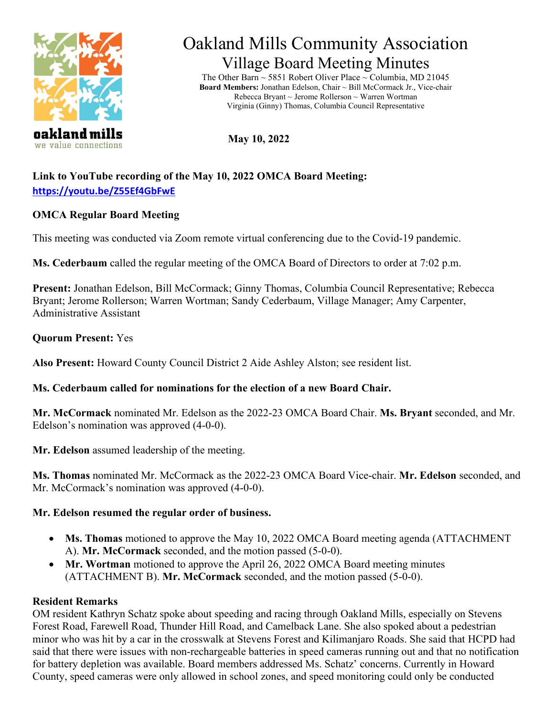



# Oakland Mills Community Association Village Board Meeting Minutes

The Other Barn ~ 5851 Robert Oliver Place ~ Columbia, MD 21045 **Board Members:** Jonathan Edelson, Chair ~ Bill McCormack Jr., Vice-chair Rebecca Bryant ~ Jerome Rollerson ~ Warren Wortman Virginia (Ginny) Thomas, Columbia Council Representative

**May 10, 2022** 

# **Link to YouTube recording of the May 10, 2022 OMCA Board Meeting: <https://youtu.be/Z55Ef4GbFwE>**

# **OMCA Regular Board Meeting**

This meeting was conducted via Zoom remote virtual conferencing due to the Covid-19 pandemic.

**Ms. Cederbaum** called the regular meeting of the OMCA Board of Directors to order at 7:02 p.m.

**Present:** Jonathan Edelson, Bill McCormack; Ginny Thomas, Columbia Council Representative; Rebecca Bryant; Jerome Rollerson; Warren Wortman; Sandy Cederbaum, Village Manager; Amy Carpenter, Administrative Assistant

# **Quorum Present:** Yes

**Also Present:** Howard County Council District 2 Aide Ashley Alston; see resident list.

# **Ms. Cederbaum called for nominations for the election of a new Board Chair.**

**Mr. McCormack** nominated Mr. Edelson as the 2022-23 OMCA Board Chair. **Ms. Bryant** seconded, and Mr. Edelson's nomination was approved (4-0-0).

**Mr. Edelson** assumed leadership of the meeting.

**Ms. Thomas** nominated Mr. McCormack as the 2022-23 OMCA Board Vice-chair. **Mr. Edelson** seconded, and Mr. McCormack's nomination was approved  $(4-0-0)$ .

# **Mr. Edelson resumed the regular order of business.**

- **Ms. Thomas** motioned to approve the May 10, 2022 OMCA Board meeting agenda (ATTACHMENT A). **Mr. McCormack** seconded, and the motion passed (5-0-0).
- **Mr. Wortman** motioned to approve the April 26, 2022 OMCA Board meeting minutes (ATTACHMENT B). **Mr. McCormack** seconded, and the motion passed (5-0-0).

# **Resident Remarks**

OM resident Kathryn Schatz spoke about speeding and racing through Oakland Mills, especially on Stevens Forest Road, Farewell Road, Thunder Hill Road, and Camelback Lane. She also spoked about a pedestrian minor who was hit by a car in the crosswalk at Stevens Forest and Kilimanjaro Roads. She said that HCPD had said that there were issues with non-rechargeable batteries in speed cameras running out and that no notification for battery depletion was available. Board members addressed Ms. Schatz' concerns. Currently in Howard County, speed cameras were only allowed in school zones, and speed monitoring could only be conducted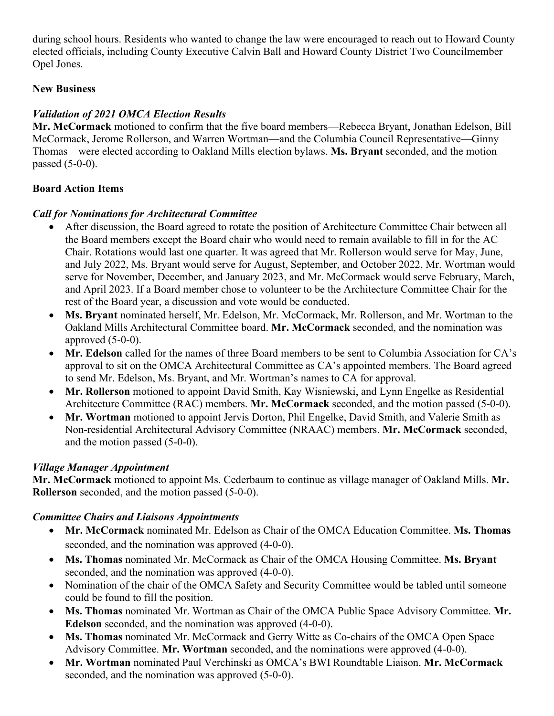during school hours. Residents who wanted to change the law were encouraged to reach out to Howard County elected officials, including County Executive Calvin Ball and Howard County District Two Councilmember Opel Jones.

# **New Business**

# *Validation of 2021 OMCA Election Results*

**Mr. McCormack** motioned to confirm that the five board members—Rebecca Bryant, Jonathan Edelson, Bill McCormack, Jerome Rollerson, and Warren Wortman—and the Columbia Council Representative—Ginny Thomas—were elected according to Oakland Mills election bylaws. **Ms. Bryant** seconded, and the motion passed (5-0-0).

# **Board Action Items**

## *Call for Nominations for Architectural Committee*

- After discussion, the Board agreed to rotate the position of Architecture Committee Chair between all the Board members except the Board chair who would need to remain available to fill in for the AC Chair. Rotations would last one quarter. It was agreed that Mr. Rollerson would serve for May, June, and July 2022, Ms. Bryant would serve for August, September, and October 2022, Mr. Wortman would serve for November, December, and January 2023, and Mr. McCormack would serve February, March, and April 2023. If a Board member chose to volunteer to be the Architecture Committee Chair for the rest of the Board year, a discussion and vote would be conducted.
- **Ms. Bryant** nominated herself, Mr. Edelson, Mr. McCormack, Mr. Rollerson, and Mr. Wortman to the Oakland Mills Architectural Committee board. **Mr. McCormack** seconded, and the nomination was approved  $(5-0-0)$ .
- **Mr. Edelson** called for the names of three Board members to be sent to Columbia Association for CA's approval to sit on the OMCA Architectural Committee as CA's appointed members. The Board agreed to send Mr. Edelson, Ms. Bryant, and Mr. Wortman's names to CA for approval.
- **Mr. Rollerson** motioned to appoint David Smith, Kay Wisniewski, and Lynn Engelke as Residential Architecture Committee (RAC) members. **Mr. McCormack** seconded, and the motion passed (5-0-0).
- **Mr. Wortman** motioned to appoint Jervis Dorton, Phil Engelke, David Smith, and Valerie Smith as Non-residential Architectural Advisory Committee (NRAAC) members. **Mr. McCormack** seconded, and the motion passed (5-0-0).

# *Village Manager Appointment*

**Mr. McCormack** motioned to appoint Ms. Cederbaum to continue as village manager of Oakland Mills. **Mr. Rollerson** seconded, and the motion passed (5-0-0).

# *Committee Chairs and Liaisons Appointments*

- **Mr. McCormack** nominated Mr. Edelson as Chair of the OMCA Education Committee. **Ms. Thomas** seconded, and the nomination was approved (4-0-0).
- **Ms. Thomas** nominated Mr. McCormack as Chair of the OMCA Housing Committee. **Ms. Bryant** seconded, and the nomination was approved (4-0-0).
- Nomination of the chair of the OMCA Safety and Security Committee would be tabled until someone could be found to fill the position.
- **Ms. Thomas** nominated Mr. Wortman as Chair of the OMCA Public Space Advisory Committee. **Mr. Edelson** seconded, and the nomination was approved (4-0-0).
- **Ms. Thomas** nominated Mr. McCormack and Gerry Witte as Co-chairs of the OMCA Open Space Advisory Committee. **Mr. Wortman** seconded, and the nominations were approved (4-0-0).
- **Mr. Wortman** nominated Paul Verchinski as OMCA's BWI Roundtable Liaison. **Mr. McCormack** seconded, and the nomination was approved (5-0-0).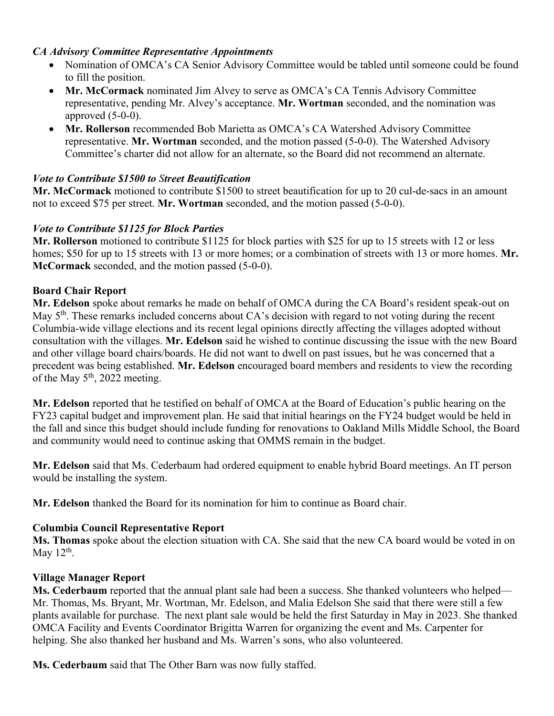### *CA Advisory Committee Representative Appointments*

- Nomination of OMCA's CA Senior Advisory Committee would be tabled until someone could be found to fill the position.
- **Mr. McCormack** nominated Jim Alvey to serve as OMCA's CA Tennis Advisory Committee representative, pending Mr. Alvey's acceptance. **Mr. Wortman** seconded, and the nomination was approved  $(5-0-0)$ .
- **Mr. Rollerson** recommended Bob Marietta as OMCA's CA Watershed Advisory Committee representative. **Mr. Wortman** seconded, and the motion passed (5-0-0). The Watershed Advisory Committee's charter did not allow for an alternate, so the Board did not recommend an alternate.

## *Vote to Contribute \$1500 to Street Beautification*

**Mr. McCormack** motioned to contribute \$1500 to street beautification for up to 20 cul-de-sacs in an amount not to exceed \$75 per street. **Mr. Wortman** seconded, and the motion passed (5-0-0).

## *Vote to Contribute \$1125 for Block Parties*

**Mr. Rollerson** motioned to contribute \$1125 for block parties with \$25 for up to 15 streets with 12 or less homes; \$50 for up to 15 streets with 13 or more homes; or a combination of streets with 13 or more homes. **Mr. McCormack** seconded, and the motion passed (5-0-0).

## **Board Chair Report**

**Mr. Edelson** spoke about remarks he made on behalf of OMCA during the CA Board's resident speak-out on May 5<sup>th</sup>. These remarks included concerns about CA's decision with regard to not voting during the recent Columbia-wide village elections and its recent legal opinions directly affecting the villages adopted without consultation with the villages. **Mr. Edelson** said he wished to continue discussing the issue with the new Board and other village board chairs/boards. He did not want to dwell on past issues, but he was concerned that a precedent was being established. **Mr. Edelson** encouraged board members and residents to view the recording of the May  $5<sup>th</sup>$ , 2022 meeting.

**Mr. Edelson** reported that he testified on behalf of OMCA at the Board of Education's public hearing on the FY23 capital budget and improvement plan. He said that initial hearings on the FY24 budget would be held in the fall and since this budget should include funding for renovations to Oakland Mills Middle School, the Board and community would need to continue asking that OMMS remain in the budget.

**Mr. Edelson** said that Ms. Cederbaum had ordered equipment to enable hybrid Board meetings. An IT person would be installing the system.

**Mr. Edelson** thanked the Board for its nomination for him to continue as Board chair.

## **Columbia Council Representative Report**

**Ms. Thomas** spoke about the election situation with CA. She said that the new CA board would be voted in on May  $12<sup>th</sup>$ .

## **Village Manager Report**

**Ms. Cederbaum** reported that the annual plant sale had been a success. She thanked volunteers who helped— Mr. Thomas, Ms. Bryant, Mr. Wortman, Mr. Edelson, and Malia Edelson She said that there were still a few plants available for purchase. The next plant sale would be held the first Saturday in May in 2023. She thanked OMCA Facility and Events Coordinator Brigitta Warren for organizing the event and Ms. Carpenter for helping. She also thanked her husband and Ms. Warren's sons, who also volunteered.

**Ms. Cederbaum** said that The Other Barn was now fully staffed.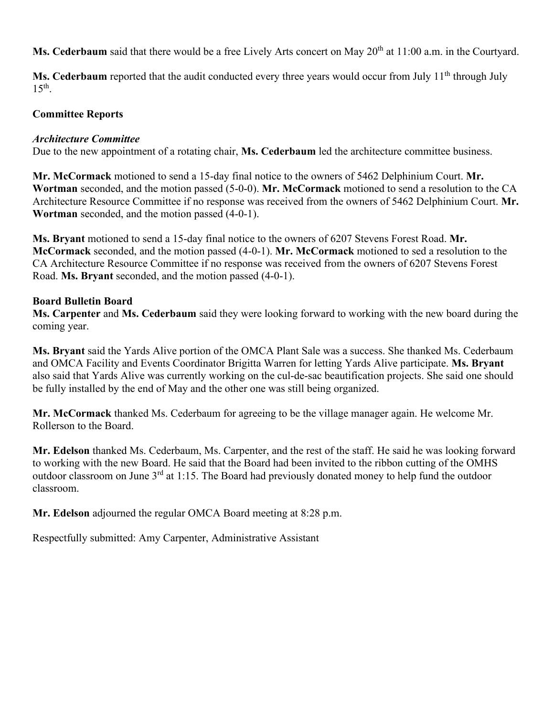**Ms. Cederbaum** said that there would be a free Lively Arts concert on May 20<sup>th</sup> at 11:00 a.m. in the Courtyard.

Ms. Cederbaum reported that the audit conducted every three years would occur from July 11<sup>th</sup> through July  $15<sup>th</sup>$ .

#### **Committee Reports**

#### *Architecture Committee*

Due to the new appointment of a rotating chair, **Ms. Cederbaum** led the architecture committee business.

**Mr. McCormack** motioned to send a 15-day final notice to the owners of 5462 Delphinium Court. **Mr. Wortman** seconded, and the motion passed (5-0-0). **Mr. McCormack** motioned to send a resolution to the CA Architecture Resource Committee if no response was received from the owners of 5462 Delphinium Court. **Mr. Wortman** seconded, and the motion passed (4-0-1).

**Ms. Bryant** motioned to send a 15-day final notice to the owners of 6207 Stevens Forest Road. **Mr. McCormack** seconded, and the motion passed (4-0-1). **Mr. McCormack** motioned to sed a resolution to the CA Architecture Resource Committee if no response was received from the owners of 6207 Stevens Forest Road. **Ms. Bryant** seconded, and the motion passed (4-0-1).

#### **Board Bulletin Board**

**Ms. Carpenter** and **Ms. Cederbaum** said they were looking forward to working with the new board during the coming year.

**Ms. Bryant** said the Yards Alive portion of the OMCA Plant Sale was a success. She thanked Ms. Cederbaum and OMCA Facility and Events Coordinator Brigitta Warren for letting Yards Alive participate. **Ms. Bryant**  also said that Yards Alive was currently working on the cul-de-sac beautification projects. She said one should be fully installed by the end of May and the other one was still being organized.

**Mr. McCormack** thanked Ms. Cederbaum for agreeing to be the village manager again. He welcome Mr. Rollerson to the Board.

**Mr. Edelson** thanked Ms. Cederbaum, Ms. Carpenter, and the rest of the staff. He said he was looking forward to working with the new Board. He said that the Board had been invited to the ribbon cutting of the OMHS outdoor classroom on June 3rd at 1:15. The Board had previously donated money to help fund the outdoor classroom.

**Mr. Edelson** adjourned the regular OMCA Board meeting at 8:28 p.m.

Respectfully submitted: Amy Carpenter, Administrative Assistant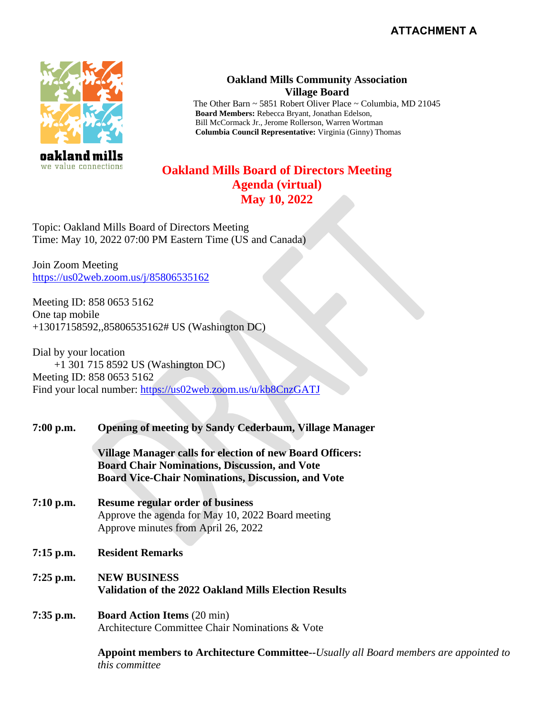

## **Oakland Mills Community Association Village Board**

The Other Barn ~ 5851 Robert Oliver Place ~ Columbia, MD 21045 **Board Members:** Rebecca Bryant, Jonathan Edelson, Bill McCormack Jr., Jerome Rollerson, Warren Wortman **Columbia Council Representative:** Virginia (Ginny) Thomas

# **Oakland Mills Board of Directors Meeting Agenda (virtual) May 10, 2022**

Topic: Oakland Mills Board of Directors Meeting Time: May 10, 2022 07:00 PM Eastern Time (US and Canada)

Join Zoom Meeting <https://us02web.zoom.us/j/85806535162>

Meeting ID: 858 0653 5162 One tap mobile +13017158592,,85806535162# US (Washington DC)

Dial by your location +1 301 715 8592 US (Washington DC) Meeting ID: 858 0653 5162 Find your local number:<https://us02web.zoom.us/u/kb8CnzGATJ>

## **7:00 p.m. Opening of meeting by Sandy Cederbaum, Village Manager**

**Village Manager calls for election of new Board Officers: Board Chair Nominations, Discussion, and Vote Board Vice-Chair Nominations, Discussion, and Vote**

- **7:10 p.m. Resume regular order of business** Approve the agenda for May 10, 2022 Board meeting Approve minutes from April 26, 2022
- **7:15 p.m. Resident Remarks**
- **7:25 p.m. NEW BUSINESS Validation of the 2022 Oakland Mills Election Results**
- **7:35 p.m. Board Action Items** (20 min) Architecture Committee Chair Nominations & Vote

**Appoint members to Architecture Committee--***Usually all Board members are appointed to this committee*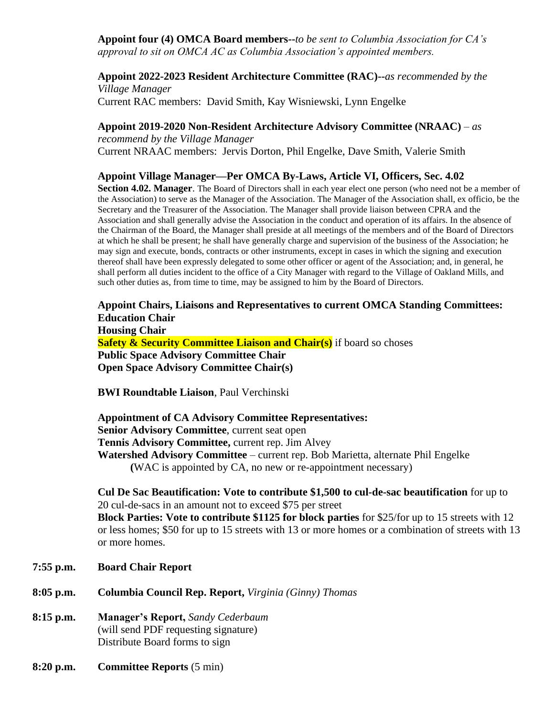**Appoint four (4) OMCA Board members--***to be sent to Columbia Association for CA's approval to sit on OMCA AC as Columbia Association's appointed members.*

**Appoint 2022-2023 Resident Architecture Committee (RAC)--***as recommended by the Village Manager* Current RAC members: David Smith, Kay Wisniewski, Lynn Engelke

**Appoint 2019-2020 Non-Resident Architecture Advisory Committee (NRAAC)** – *as* 

*recommend by the Village Manager* Current NRAAC members: Jervis Dorton, Phil Engelke, Dave Smith, Valerie Smith

**Appoint Village Manager—Per OMCA By-Laws, Article VI, Officers, Sec. 4.02**

**Section 4.02. Manager**. The Board of Directors shall in each year elect one person (who need not be a member of the Association) to serve as the Manager of the Association. The Manager of the Association shall, ex officio, be the Secretary and the Treasurer of the Association. The Manager shall provide liaison between CPRA and the Association and shall generally advise the Association in the conduct and operation of its affairs. In the absence of the Chairman of the Board, the Manager shall preside at all meetings of the members and of the Board of Directors at which he shall be present; he shall have generally charge and supervision of the business of the Association; he may sign and execute, bonds, contracts or other instruments, except in cases in which the signing and execution thereof shall have been expressly delegated to some other officer or agent of the Association; and, in general, he shall perform all duties incident to the office of a City Manager with regard to the Village of Oakland Mills, and such other duties as, from time to time, may be assigned to him by the Board of Directors.

**Appoint Chairs, Liaisons and Representatives to current OMCA Standing Committees: Education Chair Housing Chair Safety & Security Committee Liaison and Chair(s)** if board so choses **Public Space Advisory Committee Chair Open Space Advisory Committee Chair(s)**

**BWI Roundtable Liaison**, Paul Verchinski

**Appointment of CA Advisory Committee Representatives: Senior Advisory Committee**, current seat open **Tennis Advisory Committee,** current rep. Jim Alvey **Watershed Advisory Committee** – current rep. Bob Marietta, alternate Phil Engelke **(**WAC is appointed by CA, no new or re-appointment necessary)

**Cul De Sac Beautification: Vote to contribute \$1,500 to cul-de-sac beautification** for up to 20 cul-de-sacs in an amount not to exceed \$75 per street **Block Parties: Vote to contribute \$1125 for block parties** for \$25/for up to 15 streets with 12 or less homes; \$50 for up to 15 streets with 13 or more homes or a combination of streets with 13

or more homes.

- **7:55 p.m. Board Chair Report**
- **8:05 p.m. Columbia Council Rep. Report,** *Virginia (Ginny) Thomas*
- **8:15 p.m. Manager's Report,** *Sandy Cederbaum* (will send PDF requesting signature) Distribute Board forms to sign
- **8:20 p.m. Committee Reports** (5 min)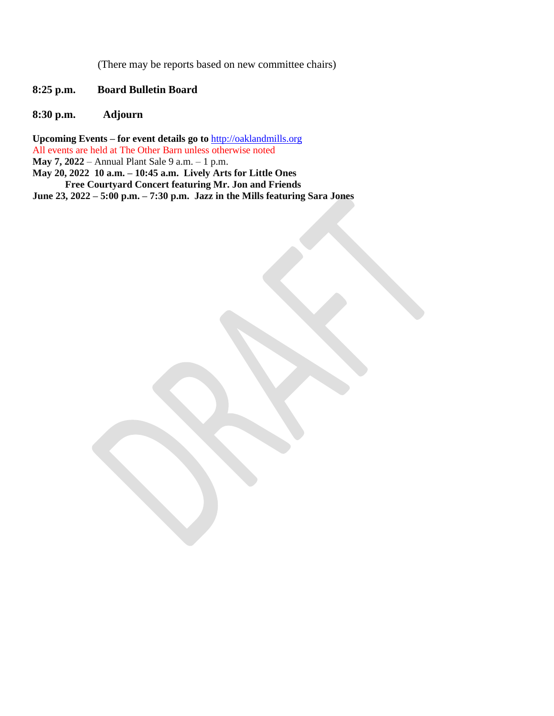(There may be reports based on new committee chairs)

- **8:25 p.m. Board Bulletin Board**
- **8:30 p.m. Adjourn**

**Upcoming Events – for event details go to** [http://oaklandmills.org](http://oaklandmills.org/) All events are held at The Other Barn unless otherwise noted **May 7, 2022** – Annual Plant Sale 9 a.m. – 1 p.m. **May 20, 2022 10 a.m. – 10:45 a.m. Lively Arts for Little Ones**

**Free Courtyard Concert featuring Mr. Jon and Friends June 23, 2022 – 5:00 p.m. – 7:30 p.m. Jazz in the Mills featuring Sara Jones**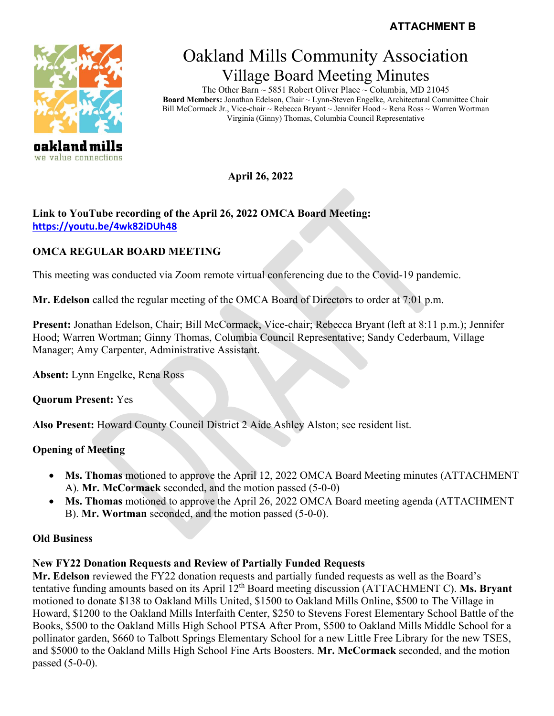

we value connections

# Oakland Mills Community Association Village Board Meeting Minutes

The Other Barn ~ 5851 Robert Oliver Place ~ Columbia, MD 21045 **Board Members:** Jonathan Edelson, Chair ~ Lynn-Steven Engelke, Architectural Committee Chair Bill McCormack Jr., Vice-chair ~ Rebecca Bryant ~ Jennifer Hood ~ Rena Ross ~ Warren Wortman Virginia (Ginny) Thomas, Columbia Council Representative

**April 26, 2022** 

## **Link to YouTube recording of the April 26, 2022 OMCA Board Meeting: <https://youtu.be/4wk82iDUh48>**

# **OMCA REGULAR BOARD MEETING**

This meeting was conducted via Zoom remote virtual conferencing due to the Covid-19 pandemic.

**Mr. Edelson** called the regular meeting of the OMCA Board of Directors to order at 7:01 p.m.

**Present:** Jonathan Edelson, Chair; Bill McCormack, Vice-chair; Rebecca Bryant (left at 8:11 p.m.); Jennifer Hood; Warren Wortman; Ginny Thomas, Columbia Council Representative; Sandy Cederbaum, Village Manager; Amy Carpenter, Administrative Assistant.

**Absent:** Lynn Engelke, Rena Ross

**Quorum Present:** Yes

**Also Present:** Howard County Council District 2 Aide Ashley Alston; see resident list.

# **Opening of Meeting**

- **Ms. Thomas** motioned to approve the April 12, 2022 OMCA Board Meeting minutes (ATTACHMENT A). **Mr. McCormack** seconded, and the motion passed (5-0-0)
- **Ms. Thomas** motioned to approve the April 26, 2022 OMCA Board meeting agenda (ATTACHMENT B). **Mr. Wortman** seconded, and the motion passed (5-0-0).

# **Old Business**

# **New FY22 Donation Requests and Review of Partially Funded Requests**

**Mr. Edelson** reviewed the FY22 donation requests and partially funded requests as well as the Board's tentative funding amounts based on its April 12<sup>th</sup> Board meeting discussion (ATTACHMENT C). Ms. Bryant motioned to donate \$138 to Oakland Mills United, \$1500 to Oakland Mills Online, \$500 to The Village in Howard, \$1200 to the Oakland Mills Interfaith Center, \$250 to Stevens Forest Elementary School Battle of the Books, \$500 to the Oakland Mills High School PTSA After Prom, \$500 to Oakland Mills Middle School for a pollinator garden, \$660 to Talbott Springs Elementary School for a new Little Free Library for the new TSES, and \$5000 to the Oakland Mills High School Fine Arts Boosters. **Mr. McCormack** seconded, and the motion passed (5-0-0).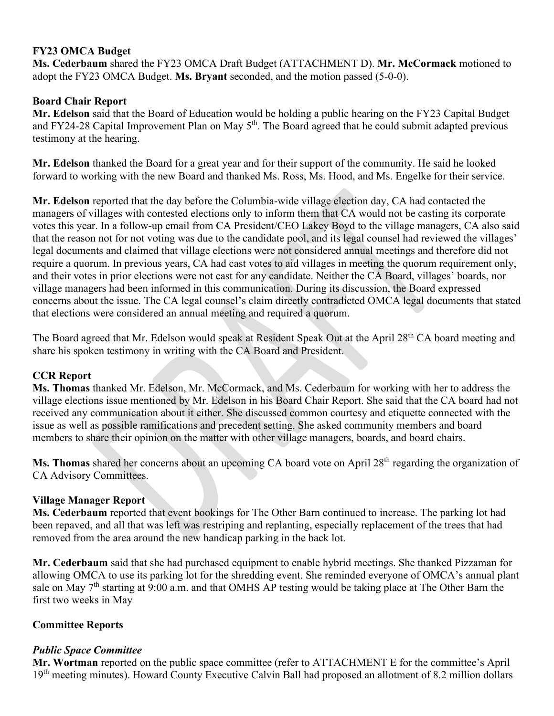### **FY23 OMCA Budget**

**Ms. Cederbaum** shared the FY23 OMCA Draft Budget (ATTACHMENT D). **Mr. McCormack** motioned to adopt the FY23 OMCA Budget. **Ms. Bryant** seconded, and the motion passed (5-0-0).

## **Board Chair Report**

**Mr. Edelson** said that the Board of Education would be holding a public hearing on the FY23 Capital Budget and FY24-28 Capital Improvement Plan on May 5<sup>th</sup>. The Board agreed that he could submit adapted previous testimony at the hearing.

**Mr. Edelson** thanked the Board for a great year and for their support of the community. He said he looked forward to working with the new Board and thanked Ms. Ross, Ms. Hood, and Ms. Engelke for their service.

**Mr. Edelson** reported that the day before the Columbia-wide village election day, CA had contacted the managers of villages with contested elections only to inform them that CA would not be casting its corporate votes this year. In a follow-up email from CA President/CEO Lakey Boyd to the village managers, CA also said that the reason not for not voting was due to the candidate pool, and its legal counsel had reviewed the villages' legal documents and claimed that village elections were not considered annual meetings and therefore did not require a quorum. In previous years, CA had cast votes to aid villages in meeting the quorum requirement only, and their votes in prior elections were not cast for any candidate. Neither the CA Board, villages' boards, nor village managers had been informed in this communication. During its discussion, the Board expressed concerns about the issue. The CA legal counsel's claim directly contradicted OMCA legal documents that stated that elections were considered an annual meeting and required a quorum.

The Board agreed that Mr. Edelson would speak at Resident Speak Out at the April 28<sup>th</sup> CA board meeting and share his spoken testimony in writing with the CA Board and President.

## **CCR Report**

**Ms. Thomas** thanked Mr. Edelson, Mr. McCormack, and Ms. Cederbaum for working with her to address the village elections issue mentioned by Mr. Edelson in his Board Chair Report. She said that the CA board had not received any communication about it either. She discussed common courtesy and etiquette connected with the issue as well as possible ramifications and precedent setting. She asked community members and board members to share their opinion on the matter with other village managers, boards, and board chairs.

**Ms. Thomas** shared her concerns about an upcoming CA board vote on April 28<sup>th</sup> regarding the organization of CA Advisory Committees.

## **Village Manager Report**

**Ms. Cederbaum** reported that event bookings for The Other Barn continued to increase. The parking lot had been repaved, and all that was left was restriping and replanting, especially replacement of the trees that had removed from the area around the new handicap parking in the back lot.

**Mr. Cederbaum** said that she had purchased equipment to enable hybrid meetings. She thanked Pizzaman for allowing OMCA to use its parking lot for the shredding event. She reminded everyone of OMCA's annual plant sale on May  $7<sup>th</sup>$  starting at 9:00 a.m. and that OMHS AP testing would be taking place at The Other Barn the first two weeks in May

#### **Committee Reports**

## *Public Space Committee*

**Mr. Wortman** reported on the public space committee (refer to ATTACHMENT E for the committee's April 19<sup>th</sup> meeting minutes). Howard County Executive Calvin Ball had proposed an allotment of 8.2 million dollars